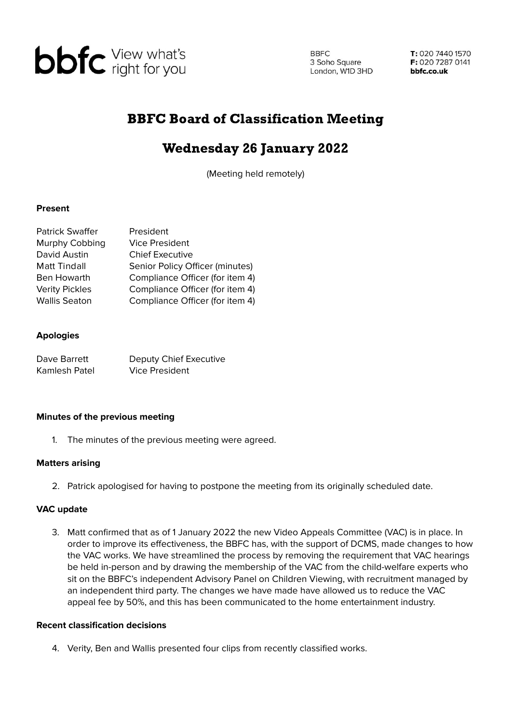

**BBFC** 3 Soho Square 3 Soho Square<br>London, W1D 3HD

T: 020 7440 1570 F: 020 7287 0141 bbfc.co.uk

# BBFC Board of Classification Meeting

# Wednesday 26 January 2022

(Meeting held remotely)

### **Present**

| <b>Patrick Swaffer</b> | President                       |
|------------------------|---------------------------------|
| Murphy Cobbing         | <b>Vice President</b>           |
| David Austin           | <b>Chief Executive</b>          |
| <b>Matt Tindall</b>    | Senior Policy Officer (minutes) |
| Ben Howarth            | Compliance Officer (for item 4) |
| <b>Verity Pickles</b>  | Compliance Officer (for item 4) |
| <b>Wallis Seaton</b>   | Compliance Officer (for item 4) |

### **Apologies**

| Dave Barrett  | Deputy Chief Executive |
|---------------|------------------------|
| Kamlesh Patel | <b>Vice President</b>  |

#### **Minutes of the previous meeting**

1. The minutes of the previous meeting were agreed.

#### **Matters arising**

2. Patrick apologised for having to postpone the meeting from its originally scheduled date.

## **VAC update**

3. Matt confirmed that as of 1 January 2022 the new Video Appeals Committee (VAC) is in place. In order to improve its effectiveness, the BBFC has, with the support of DCMS, made changes to how the VAC works. We have streamlined the process by removing the requirement that VAC hearings be held in-person and by drawing the membership of the VAC from the child-welfare experts who sit on the BBFC's independent Advisory Panel on Children Viewing, with recruitment managed by an independent third party. The changes we have made have allowed us to reduce the VAC appeal fee by 50%, and this has been communicated to the home entertainment industry.

#### **Recent classification decisions**

4. Verity, Ben and Wallis presented four clips from recently classified works.